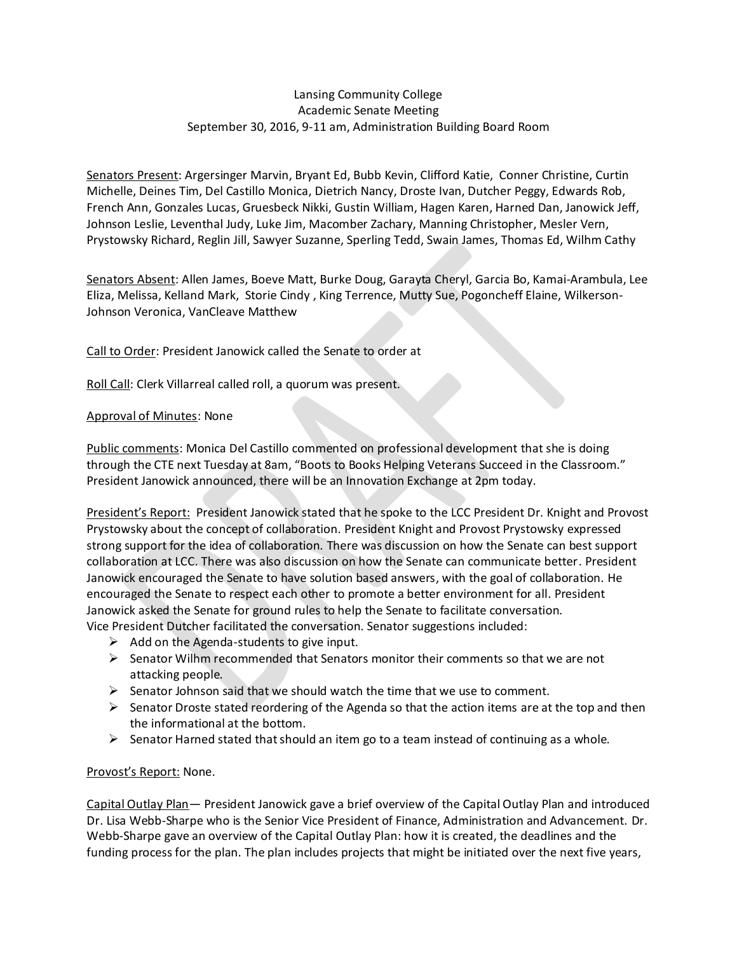## Lansing Community College Academic Senate Meeting September 30, 2016, 9-11 am, Administration Building Board Room

Senators Present: Argersinger Marvin, Bryant Ed, Bubb Kevin, Clifford Katie, Conner Christine, Curtin Michelle, Deines Tim, Del Castillo Monica, Dietrich Nancy, Droste Ivan, Dutcher Peggy, Edwards Rob, French Ann, Gonzales Lucas, Gruesbeck Nikki, Gustin William, Hagen Karen, Harned Dan, Janowick Jeff, Johnson Leslie, Leventhal Judy, Luke Jim, Macomber Zachary, Manning Christopher, Mesler Vern, Prystowsky Richard, Reglin Jill, Sawyer Suzanne, Sperling Tedd, Swain James, Thomas Ed, Wilhm Cathy

Senators Absent: Allen James, Boeve Matt, Burke Doug, Garayta Cheryl, Garcia Bo, Kamai-Arambula, Lee Eliza, Melissa, Kelland Mark, Storie Cindy , King Terrence, Mutty Sue, Pogoncheff Elaine, Wilkerson-Johnson Veronica, VanCleave Matthew

Call to Order: President Janowick called the Senate to order at

Roll Call: Clerk Villarreal called roll, a quorum was present.

## Approval of Minutes: None

Public comments: Monica Del Castillo commented on professional development that she is doing through the CTE next Tuesday at 8am, "Boots to Books Helping Veterans Succeed in the Classroom." President Janowick announced, there will be an Innovation Exchange at 2pm today.

President's Report: President Janowick stated that he spoke to the LCC President Dr. Knight and Provost Prystowsky about the concept of collaboration. President Knight and Provost Prystowsky expressed strong support for the idea of collaboration. There was discussion on how the Senate can best support collaboration at LCC. There was also discussion on how the Senate can communicate better. President Janowick encouraged the Senate to have solution based answers, with the goal of collaboration. He encouraged the Senate to respect each other to promote a better environment for all. President Janowick asked the Senate for ground rules to help the Senate to facilitate conversation. Vice President Dutcher facilitated the conversation. Senator suggestions included:

- $\triangleright$  Add on the Agenda-students to give input.
- $\triangleright$  Senator Wilhm recommended that Senators monitor their comments so that we are not attacking people.
- $\triangleright$  Senator Johnson said that we should watch the time that we use to comment.
- $\triangleright$  Senator Droste stated reordering of the Agenda so that the action items are at the top and then the informational at the bottom.
- $\triangleright$  Senator Harned stated that should an item go to a team instead of continuing as a whole.

## Provost's Report: None.

Capital Outlay Plan— President Janowick gave a brief overview of the Capital Outlay Plan and introduced Dr. Lisa Webb-Sharpe who is the Senior Vice President of Finance, Administration and Advancement. Dr. Webb-Sharpe gave an overview of the Capital Outlay Plan: how it is created, the deadlines and the funding process for the plan. The plan includes projects that might be initiated over the next five years,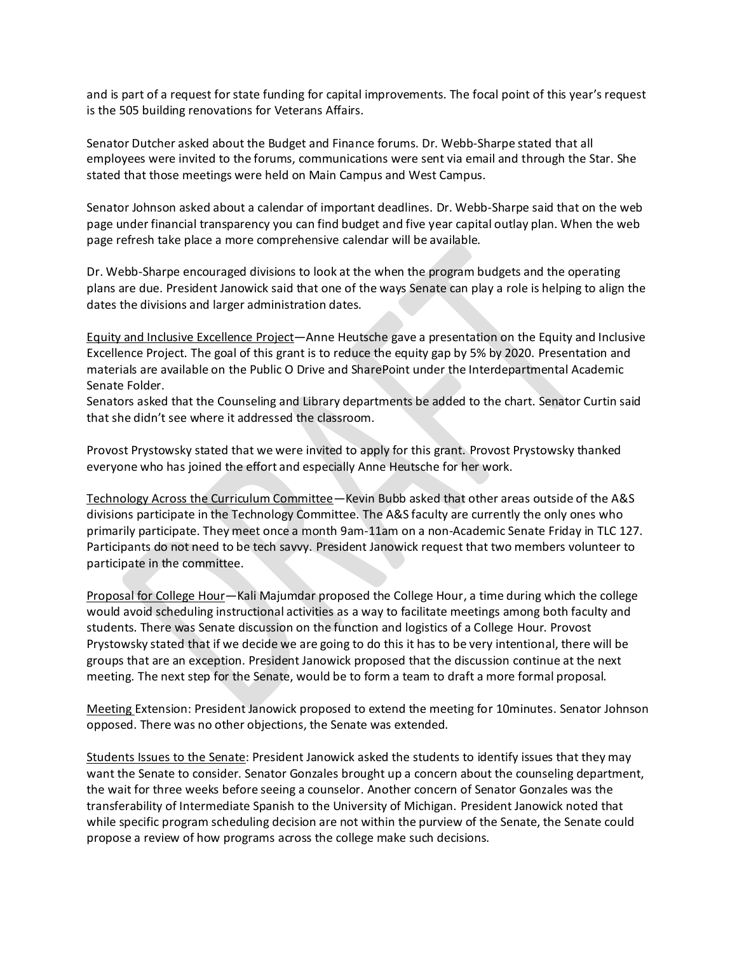and is part of a request for state funding for capital improvements. The focal point of this year's request is the 505 building renovations for Veterans Affairs.

Senator Dutcher asked about the Budget and Finance forums. Dr. Webb-Sharpe stated that all employees were invited to the forums, communications were sent via email and through the Star. She stated that those meetings were held on Main Campus and West Campus.

Senator Johnson asked about a calendar of important deadlines. Dr. Webb-Sharpe said that on the web page under financial transparency you can find budget and five year capital outlay plan. When the web page refresh take place a more comprehensive calendar will be available.

Dr. Webb-Sharpe encouraged divisions to look at the when the program budgets and the operating plans are due. President Janowick said that one of the ways Senate can play a role is helping to align the dates the divisions and larger administration dates.

Equity and Inclusive Excellence Project—Anne Heutsche gave a presentation on the Equity and Inclusive Excellence Project. The goal of this grant is to reduce the equity gap by 5% by 2020. Presentation and materials are available on the Public O Drive and SharePoint under the Interdepartmental Academic Senate Folder.

Senators asked that the Counseling and Library departments be added to the chart. Senator Curtin said that she didn't see where it addressed the classroom.

Provost Prystowsky stated that we were invited to apply for this grant. Provost Prystowsky thanked everyone who has joined the effort and especially Anne Heutsche for her work.

Technology Across the Curriculum Committee—Kevin Bubb asked that other areas outside of the A&S divisions participate in the Technology Committee. The A&S faculty are currently the only ones who primarily participate. They meet once a month 9am-11am on a non-Academic Senate Friday in TLC 127. Participants do not need to be tech savvy. President Janowick request that two members volunteer to participate in the committee.

Proposal for College Hour-Kali Majumdar proposed the College Hour, a time during which the college would avoid scheduling instructional activities as a way to facilitate meetings among both faculty and students. There was Senate discussion on the function and logistics of a College Hour. Provost Prystowsky stated that if we decide we are going to do this it has to be very intentional, there will be groups that are an exception. President Janowick proposed that the discussion continue at the next meeting. The next step for the Senate, would be to form a team to draft a more formal proposal.

Meeting Extension: President Janowick proposed to extend the meeting for 10minutes. Senator Johnson opposed. There was no other objections, the Senate was extended.

Students Issues to the Senate: President Janowick asked the students to identify issues that they may want the Senate to consider. Senator Gonzales brought up a concern about the counseling department, the wait for three weeks before seeing a counselor. Another concern of Senator Gonzales was the transferability of Intermediate Spanish to the University of Michigan. President Janowick noted that while specific program scheduling decision are not within the purview of the Senate, the Senate could propose a review of how programs across the college make such decisions.